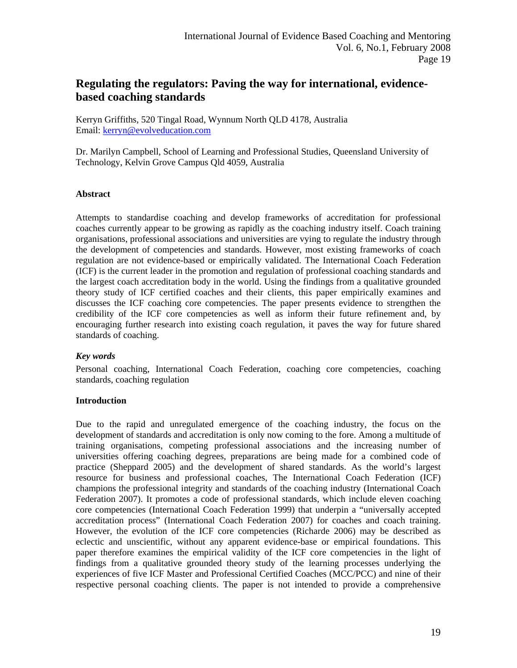# **Regulating the regulators: Paving the way for international, evidencebased coaching standards**

Kerryn Griffiths, 520 Tingal Road, Wynnum North QLD 4178, Australia Email: [kerryn@evolveducation.com](mailto:kerryn@evolveducation.com)

Dr. Marilyn Campbell, School of Learning and Professional Studies, Queensland University of Technology, Kelvin Grove Campus Qld 4059, Australia

### **Abstract**

Attempts to standardise coaching and develop frameworks of accreditation for professional coaches currently appear to be growing as rapidly as the coaching industry itself. Coach training organisations, professional associations and universities are vying to regulate the industry through the development of competencies and standards. However, most existing frameworks of coach regulation are not evidence-based or empirically validated. The International Coach Federation (ICF) is the current leader in the promotion and regulation of professional coaching standards and the largest coach accreditation body in the world. Using the findings from a qualitative grounded theory study of ICF certified coaches and their clients, this paper empirically examines and discusses the ICF coaching core competencies. The paper presents evidence to strengthen the credibility of the ICF core competencies as well as inform their future refinement and, by encouraging further research into existing coach regulation, it paves the way for future shared standards of coaching.

### *Key words*

Personal coaching, International Coach Federation, coaching core competencies, coaching standards, coaching regulation

### **Introduction**

Due to the rapid and unregulated emergence of the coaching industry, the focus on the development of standards and accreditation is only now coming to the fore. Among a multitude of training organisations, competing professional associations and the increasing number of universities offering coaching degrees, preparations are being made for a combined code of practice (Sheppard 2005) and the development of shared standards. As the world's largest resource for business and professional coaches, The International Coach Federation (ICF) champions the professional integrity and standards of the coaching industry (International Coach Federation 2007). It promotes a code of professional standards, which include eleven coaching core competencies (International Coach Federation 1999) that underpin a "universally accepted accreditation process" (International Coach Federation 2007) for coaches and coach training. However, the evolution of the ICF core competencies (Richarde 2006) may be described as eclectic and unscientific, without any apparent evidence-base or empirical foundations. This paper therefore examines the empirical validity of the ICF core competencies in the light of findings from a qualitative grounded theory study of the learning processes underlying the experiences of five ICF Master and Professional Certified Coaches (MCC/PCC) and nine of their respective personal coaching clients. The paper is not intended to provide a comprehensive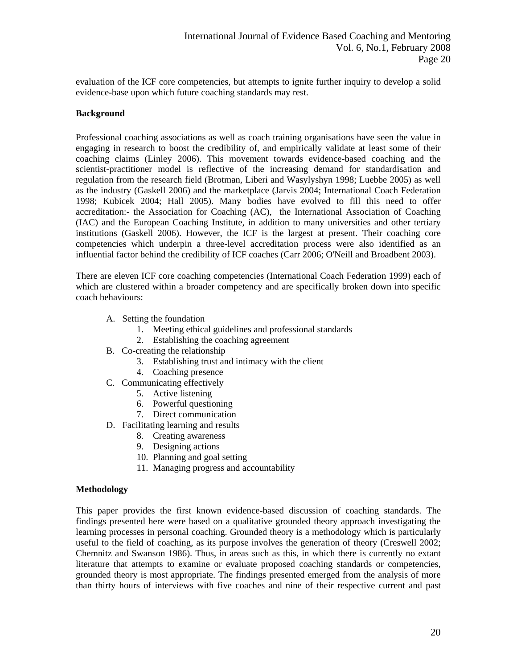evaluation of the ICF core competencies, but attempts to ignite further inquiry to develop a solid evidence-base upon which future coaching standards may rest.

# **Background**

Professional coaching associations as well as coach training organisations have seen the value in engaging in research to boost the credibility of, and empirically validate at least some of their coaching claims (Linley 2006). This movement towards evidence-based coaching and the scientist-practitioner model is reflective of the increasing demand for standardisation and regulation from the research field (Brotman, Liberi and Wasylyshyn 1998; Luebbe 2005) as well as the industry (Gaskell 2006) and the marketplace (Jarvis 2004; International Coach Federation 1998; Kubicek 2004; Hall 2005). Many bodies have evolved to fill this need to offer accreditation:- the Association for Coaching (AC), the International Association of Coaching (IAC) and the European Coaching Institute, in addition to many universities and other tertiary institutions (Gaskell 2006). However, the ICF is the largest at present. Their coaching core competencies which underpin a three-level accreditation process were also identified as an influential factor behind the credibility of ICF coaches (Carr 2006; O'Neill and Broadbent 2003).

There are eleven ICF core coaching competencies (International Coach Federation 1999) each of which are clustered within a broader competency and are specifically broken down into specific coach behaviours:

- A. Setting the foundation
	- 1. Meeting ethical guidelines and professional standards
	- 2. Establishing the coaching agreement
- B. Co-creating the relationship
	- 3. Establishing trust and intimacy with the client
	- 4. Coaching presence
- C. Communicating effectively
	- 5. Active listening
	- 6. Powerful questioning
	- 7. Direct communication
- D. Facilitating learning and results
	- 8. Creating awareness
	- 9. Designing actions
	- 10. Planning and goal setting
	- 11. Managing progress and accountability

### **Methodology**

This paper provides the first known evidence-based discussion of coaching standards. The findings presented here were based on a qualitative grounded theory approach investigating the learning processes in personal coaching. Grounded theory is a methodology which is particularly useful to the field of coaching, as its purpose involves the generation of theory (Creswell 2002; Chemnitz and Swanson 1986). Thus, in areas such as this, in which there is currently no extant literature that attempts to examine or evaluate proposed coaching standards or competencies, grounded theory is most appropriate. The findings presented emerged from the analysis of more than thirty hours of interviews with five coaches and nine of their respective current and past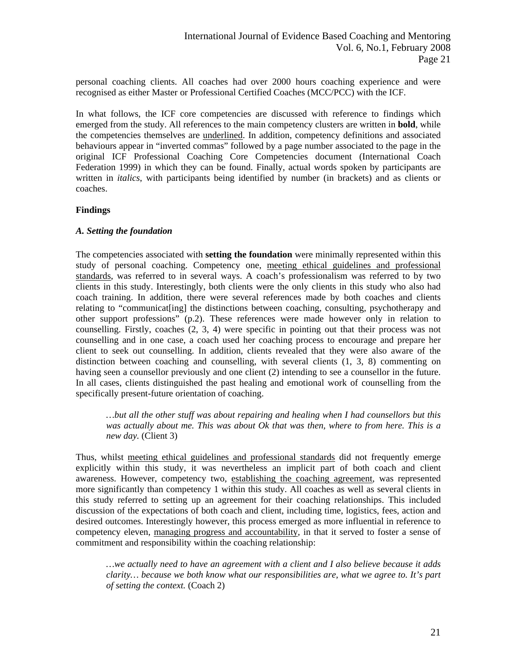personal coaching clients. All coaches had over 2000 hours coaching experience and were recognised as either Master or Professional Certified Coaches (MCC/PCC) with the ICF.

In what follows, the ICF core competencies are discussed with reference to findings which emerged from the study. All references to the main competency clusters are written in **bold**, while the competencies themselves are underlined. In addition, competency definitions and associated behaviours appear in "inverted commas" followed by a page number associated to the page in the original ICF Professional Coaching Core Competencies document (International Coach Federation 1999) in which they can be found. Finally, actual words spoken by participants are written in *italics*, with participants being identified by number (in brackets) and as clients or coaches.

# **Findings**

# *A. Setting the foundation*

The competencies associated with **setting the foundation** were minimally represented within this study of personal coaching. Competency one, meeting ethical guidelines and professional standards, was referred to in several ways. A coach's professionalism was referred to by two clients in this study. Interestingly, both clients were the only clients in this study who also had coach training. In addition, there were several references made by both coaches and clients relating to "communicat[ing] the distinctions between coaching, consulting, psychotherapy and other support professions" (p.2). These references were made however only in relation to counselling. Firstly, coaches (2, 3, 4) were specific in pointing out that their process was not counselling and in one case, a coach used her coaching process to encourage and prepare her client to seek out counselling. In addition, clients revealed that they were also aware of the distinction between coaching and counselling, with several clients (1, 3, 8) commenting on having seen a counsellor previously and one client (2) intending to see a counsellor in the future. In all cases, clients distinguished the past healing and emotional work of counselling from the specifically present-future orientation of coaching.

*…but all the other stuff was about repairing and healing when I had counsellors but this was actually about me. This was about Ok that was then, where to from here. This is a new day.* (Client 3)

Thus, whilst meeting ethical guidelines and professional standards did not frequently emerge explicitly within this study, it was nevertheless an implicit part of both coach and client awareness. However, competency two, establishing the coaching agreement, was represented more significantly than competency 1 within this study. All coaches as well as several clients in this study referred to setting up an agreement for their coaching relationships. This included discussion of the expectations of both coach and client, including time, logistics, fees, action and desired outcomes. Interestingly however, this process emerged as more influential in reference to competency eleven, managing progress and accountability, in that it served to foster a sense of commitment and responsibility within the coaching relationship:

*…we actually need to have an agreement with a client and I also believe because it adds clarity… because we both know what our responsibilities are, what we agree to. It's part of setting the context.* (Coach 2)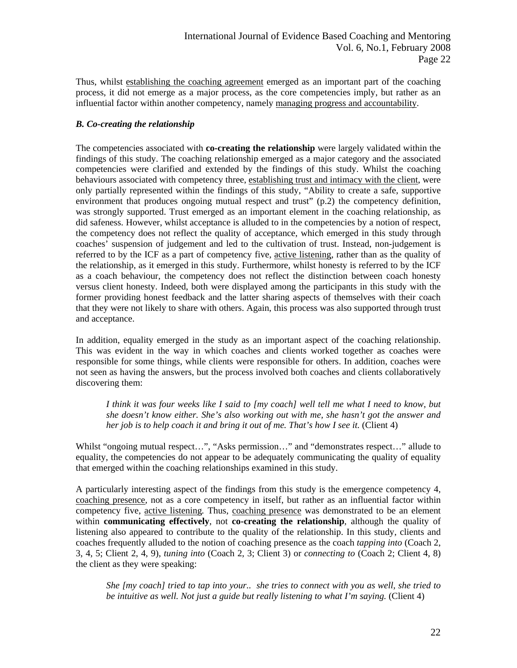Thus, whilst establishing the coaching agreement emerged as an important part of the coaching process, it did not emerge as a major process, as the core competencies imply, but rather as an influential factor within another competency, namely managing progress and accountability.

# *B. Co-creating the relationship*

The competencies associated with **co-creating the relationship** were largely validated within the findings of this study. The coaching relationship emerged as a major category and the associated competencies were clarified and extended by the findings of this study. Whilst the coaching behaviours associated with competency three, establishing trust and intimacy with the client, were only partially represented within the findings of this study, "Ability to create a safe, supportive environment that produces ongoing mutual respect and trust" (p.2) the competency definition, was strongly supported. Trust emerged as an important element in the coaching relationship, as did safeness. However, whilst acceptance is alluded to in the competencies by a notion of respect, the competency does not reflect the quality of acceptance, which emerged in this study through coaches' suspension of judgement and led to the cultivation of trust. Instead, non-judgement is referred to by the ICF as a part of competency five, active listening, rather than as the quality of the relationship, as it emerged in this study. Furthermore, whilst honesty is referred to by the ICF as a coach behaviour, the competency does not reflect the distinction between coach honesty versus client honesty. Indeed, both were displayed among the participants in this study with the former providing honest feedback and the latter sharing aspects of themselves with their coach that they were not likely to share with others. Again, this process was also supported through trust and acceptance.

In addition, equality emerged in the study as an important aspect of the coaching relationship. This was evident in the way in which coaches and clients worked together as coaches were responsible for some things, while clients were responsible for others. In addition, coaches were not seen as having the answers, but the process involved both coaches and clients collaboratively discovering them:

*I think it was four weeks like I said to [my coach] well tell me what I need to know, but she doesn't know either. She's also working out with me, she hasn't got the answer and her job is to help coach it and bring it out of me. That's how I see it.* (Client 4)

Whilst "ongoing mutual respect…", "Asks permission…" and "demonstrates respect…" allude to equality, the competencies do not appear to be adequately communicating the quality of equality that emerged within the coaching relationships examined in this study.

A particularly interesting aspect of the findings from this study is the emergence competency 4, coaching presence*,* not as a core competency in itself, but rather as an influential factor within competency five, active listening*.* Thus, coaching presence was demonstrated to be an element within **communicating effectively**, not **co-creating the relationship**, although the quality of listening also appeared to contribute to the quality of the relationship. In this study, clients and coaches frequently alluded to the notion of coaching presence as the coach *tapping into* (Coach 2, 3, 4, 5; Client 2, 4, 9), *tuning into* (Coach 2, 3; Client 3) or *connecting to* (Coach 2; Client 4, 8) the client as they were speaking:

*She [my coach] tried to tap into your.. she tries to connect with you as well, she tried to be intuitive as well. Not just a guide but really listening to what I'm saying.* (Client 4)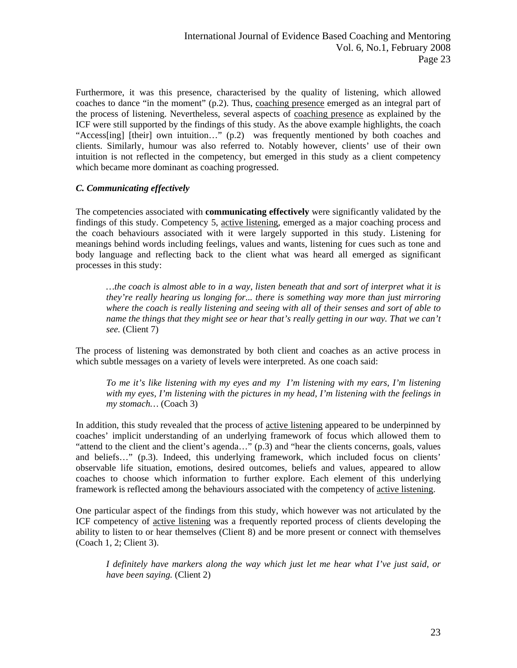Furthermore, it was this presence, characterised by the quality of listening, which allowed coaches to dance "in the moment" (p.2). Thus, coaching presence emerged as an integral part of the process of listening. Nevertheless, several aspects of coaching presence as explained by the ICF were still supported by the findings of this study. As the above example highlights, the coach "Access[ing] [their] own intuition…" (p.2) was frequently mentioned by both coaches and clients. Similarly, humour was also referred to. Notably however, clients' use of their own intuition is not reflected in the competency, but emerged in this study as a client competency which became more dominant as coaching progressed.

# *C. Communicating effectively*

The competencies associated with **communicating effectively** were significantly validated by the findings of this study. Competency 5, active listening, emerged as a major coaching process and the coach behaviours associated with it were largely supported in this study. Listening for meanings behind words including feelings, values and wants, listening for cues such as tone and body language and reflecting back to the client what was heard all emerged as significant processes in this study:

*…the coach is almost able to in a way, listen beneath that and sort of interpret what it is they're really hearing us longing for... there is something way more than just mirroring where the coach is really listening and seeing with all of their senses and sort of able to name the things that they might see or hear that's really getting in our way. That we can't see.* (Client 7)

The process of listening was demonstrated by both client and coaches as an active process in which subtle messages on a variety of levels were interpreted. As one coach said:

*To me it's like listening with my eyes and my I'm listening with my ears, I'm listening with my eyes, I'm listening with the pictures in my head, I'm listening with the feelings in my stomach…* (Coach 3)

In addition, this study revealed that the process of active listening appeared to be underpinned by coaches' implicit understanding of an underlying framework of focus which allowed them to "attend to the client and the client's agenda…" (p.3) and "hear the clients concerns, goals, values and beliefs…" (p.3). Indeed, this underlying framework, which included focus on clients' observable life situation, emotions, desired outcomes, beliefs and values, appeared to allow coaches to choose which information to further explore. Each element of this underlying framework is reflected among the behaviours associated with the competency of active listening.

One particular aspect of the findings from this study, which however was not articulated by the ICF competency of active listening was a frequently reported process of clients developing the ability to listen to or hear themselves (Client 8) and be more present or connect with themselves (Coach 1, 2; Client 3).

*I definitely have markers along the way which just let me hear what I've just said, or have been saying.* (Client 2)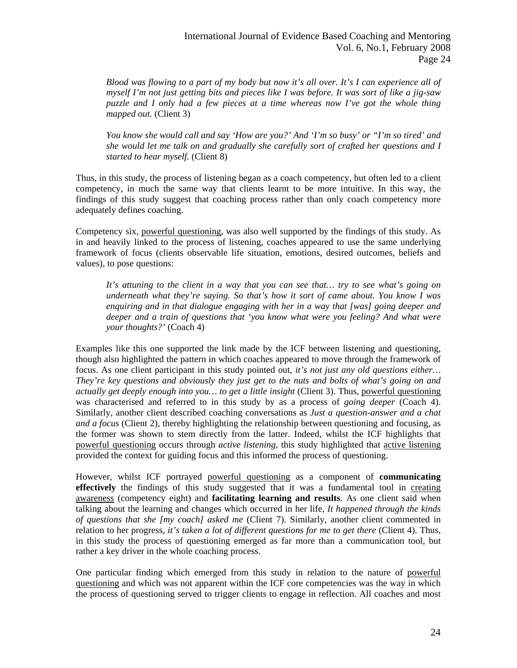*Blood was flowing to a part of my body but now it's all over. It's I can experience all of myself I'm not just getting bits and pieces like I was before. It was sort of like a jig-saw puzzle and I only had a few pieces at a time whereas now I've got the whole thing mapped out.* (Client 3)

*You know she would call and say 'How are you?' And 'I'm so busy' or "I'm so tired' and she would let me talk on and gradually she carefully sort of crafted her questions and I started to hear myself.* (Client 8)

Thus, in this study, the process of listening began as a coach competency, but often led to a client competency, in much the same way that clients learnt to be more intuitive. In this way, the findings of this study suggest that coaching process rather than only coach competency more adequately defines coaching.

Competency six, powerful questioning, was also well supported by the findings of this study. As in and heavily linked to the process of listening, coaches appeared to use the same underlying framework of focus (clients observable life situation, emotions, desired outcomes, beliefs and values), to pose questions:

*It's attuning to the client in a way that you can see that… try to see what's going on underneath what they're saying. So that's how it sort of came about. You know I was enquiring and in that dialogue engaging with her in a way that [was] going deeper and deeper and a train of questions that 'you know what were you feeling? And what were your thoughts?'* (Coach 4)

Examples like this one supported the link made by the ICF between listening and questioning, though also highlighted the pattern in which coaches appeared to move through the framework of focus. As one client participant in this study pointed out, *it's not just any old questions either… They're key questions and obviously they just get to the nuts and bolts of what's going on and actually get deeply enough into you… to get a little insight* (Client 3). Thus, powerful questioning was characterised and referred to in this study by as a process of *going deeper* (Coach 4). Similarly, another client described coaching conversations as *Just a question-answer and a chat and a focus* (Client 2), thereby highlighting the relationship between questioning and focusing, as the former was shown to stem directly from the latter. Indeed, whilst the ICF highlights that powerful questioning occurs through *active listening,* this study highlighted that active listening provided the context for guiding focus and this informed the process of questioning.

However, whilst ICF portrayed powerful questioning as a component of **communicating effectively** the findings of this study suggested that it was a fundamental tool in creating awareness (competency eight) and **facilitating learning and results**. As one client said when talking about the learning and changes which occurred in her life, *It happened through the kinds of questions that she [my coach] asked me* (Client 7). Similarly, another client commented in relation to her progress, *it's taken a lot of different questions for me to get there* (Client 4). Thus, in this study the process of questioning emerged as far more than a communication tool, but rather a key driver in the whole coaching process.

One particular finding which emerged from this study in relation to the nature of powerful questioning and which was not apparent within the ICF core competencies was the way in which the process of questioning served to trigger clients to engage in reflection. All coaches and most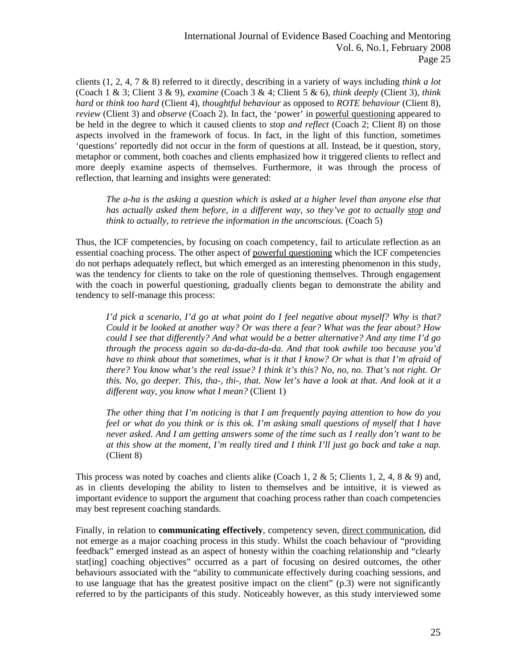clients (1, 2, 4, 7 & 8) referred to it directly, describing in a variety of ways including *think a lot* (Coach 1 & 3; Client 3 & 9), *examine* (Coach 3 & 4; Client 5 & 6), *think deeply* (Client 3), *think hard* or *think too hard* (Client 4), *thoughtful behaviour* as opposed to *ROTE behaviour* (Client 8), *review* (Client 3) and *observe* (Coach 2). In fact, the 'power' in powerful questioning appeared to be held in the degree to which it caused clients to *stop and reflect* (Coach 2; Client 8) on those aspects involved in the framework of focus. In fact, in the light of this function, sometimes 'questions' reportedly did not occur in the form of questions at all. Instead, be it question, story, metaphor or comment, both coaches and clients emphasized how it triggered clients to reflect and more deeply examine aspects of themselves. Furthermore, it was through the process of reflection, that learning and insights were generated:

*The a-ha is the asking a question which is asked at a higher level than anyone else that has actually asked them before, in a different way, so they've got to actually stop and think to actually, to retrieve the information in the unconscious.* (Coach 5)

Thus, the ICF competencies, by focusing on coach competency, fail to articulate reflection as an essential coaching process. The other aspect of powerful questioning which the ICF competencies do not perhaps adequately reflect, but which emerged as an interesting phenomenon in this study, was the tendency for clients to take on the role of questioning themselves. Through engagement with the coach in powerful questioning, gradually clients began to demonstrate the ability and tendency to self-manage this process:

*I'd pick a scenario, I'd go at what point do I feel negative about myself? Why is that? Could it be looked at another way? Or was there a fear? What was the fear about? How could I see that differently? And what would be a better alternative? And any time I'd go through the process again so da-da-da-da-da. And that took awhile too because you'd have to think about that sometimes, what is it that I know? Or what is that I'm afraid of there? You know what's the real issue? I think it's this? No, no, no. That's not right. Or this. No, go deeper. This, tha-, thi-, that. Now let's have a look at that. And look at it a different way, you know what I mean?* (Client 1)

*The other thing that I'm noticing is that I am frequently paying attention to how do you feel or what do you think or is this ok. I'm asking small questions of myself that I have never asked. And I am getting answers some of the time such as I really don't want to be at this show at the moment, I'm really tired and I think I'll just go back and take a nap.* (Client 8)

This process was noted by coaches and clients alike (Coach 1, 2 & 5; Clients 1, 2, 4, 8 & 9) and, as in clients developing the ability to listen to themselves and be intuitive, it is viewed as important evidence to support the argument that coaching process rather than coach competencies may best represent coaching standards.

Finally, in relation to **communicating effectively**, competency seven, direct communication, did not emerge as a major coaching process in this study. Whilst the coach behaviour of "providing feedback" emerged instead as an aspect of honesty within the coaching relationship and "clearly stat[ing] coaching objectives" occurred as a part of focusing on desired outcomes, the other behaviours associated with the "ability to communicate effectively during coaching sessions, and to use language that has the greatest positive impact on the client" (p.3) were not significantly referred to by the participants of this study. Noticeably however, as this study interviewed some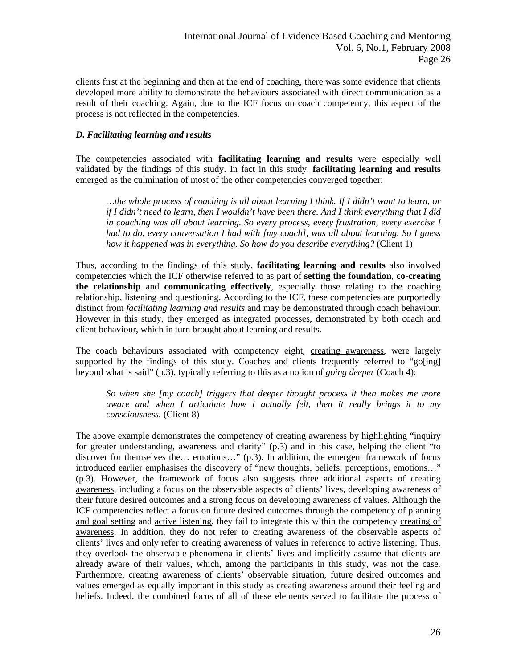clients first at the beginning and then at the end of coaching, there was some evidence that clients developed more ability to demonstrate the behaviours associated with direct communication as a result of their coaching. Again, due to the ICF focus on coach competency, this aspect of the process is not reflected in the competencies.

# *D. Facilitating learning and results*

The competencies associated with **facilitating learning and results** were especially well validated by the findings of this study. In fact in this study, **facilitating learning and results**  emerged as the culmination of most of the other competencies converged together:

*…the whole process of coaching is all about learning I think. If I didn't want to learn, or if I didn't need to learn, then I wouldn't have been there. And I think everything that I did in coaching was all about learning. So every process, every frustration, every exercise I had to do, every conversation I had with [my coach], was all about learning. So I guess how it happened was in everything. So how do you describe everything?* (Client 1)

Thus, according to the findings of this study, **facilitating learning and results** also involved competencies which the ICF otherwise referred to as part of **setting the foundation**, **co-creating the relationship** and **communicating effectively**, especially those relating to the coaching relationship, listening and questioning. According to the ICF, these competencies are purportedly distinct from *facilitating learning and results* and may be demonstrated through coach behaviour. However in this study, they emerged as integrated processes, demonstrated by both coach and client behaviour, which in turn brought about learning and results.

The coach behaviours associated with competency eight, creating awareness, were largely supported by the findings of this study. Coaches and clients frequently referred to "go[ing] beyond what is said" (p.3), typically referring to this as a notion of *going deeper* (Coach 4):

*So when she [my coach] triggers that deeper thought process it then makes me more aware and when I articulate how I actually felt, then it really brings it to my consciousness.* (Client 8)

The above example demonstrates the competency of creating awareness by highlighting "inquiry for greater understanding, awareness and clarity" (p.3) and in this case, helping the client "to discover for themselves the… emotions…" (p.3). In addition, the emergent framework of focus introduced earlier emphasises the discovery of "new thoughts, beliefs, perceptions, emotions…" (p.3). However, the framework of focus also suggests three additional aspects of creating awareness, including a focus on the observable aspects of clients' lives, developing awareness of their future desired outcomes and a strong focus on developing awareness of values. Although the ICF competencies reflect a focus on future desired outcomes through the competency of planning and goal setting and active listening, they fail to integrate this within the competency creating of awareness. In addition, they do not refer to creating awareness of the observable aspects of clients' lives and only refer to creating awareness of values in reference to active listening. Thus, they overlook the observable phenomena in clients' lives and implicitly assume that clients are already aware of their values, which, among the participants in this study, was not the case*.*  Furthermore, creating awareness of clients' observable situation, future desired outcomes and values emerged as equally important in this study as creating awareness around their feeling and beliefs. Indeed, the combined focus of all of these elements served to facilitate the process of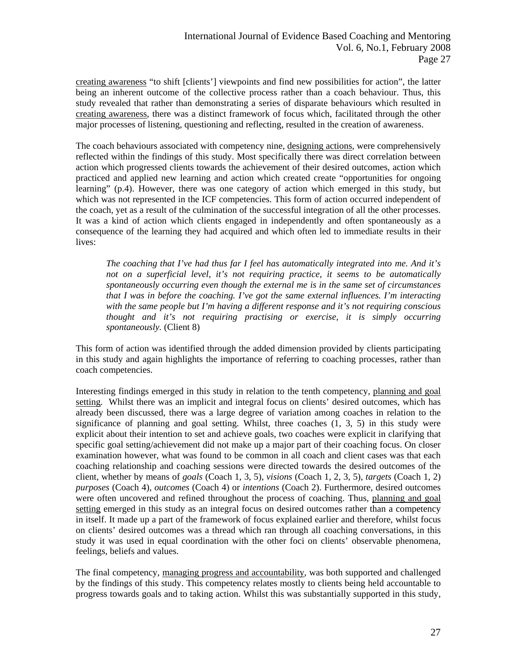creating awareness "to shift [clients'] viewpoints and find new possibilities for action", the latter being an inherent outcome of the collective process rather than a coach behaviour. Thus, this study revealed that rather than demonstrating a series of disparate behaviours which resulted in creating awareness, there was a distinct framework of focus which, facilitated through the other major processes of listening, questioning and reflecting, resulted in the creation of awareness.

The coach behaviours associated with competency nine, designing actions, were comprehensively reflected within the findings of this study. Most specifically there was direct correlation between action which progressed clients towards the achievement of their desired outcomes, action which practiced and applied new learning and action which created create "opportunities for ongoing learning" (p.4). However, there was one category of action which emerged in this study, but which was not represented in the ICF competencies. This form of action occurred independent of the coach, yet as a result of the culmination of the successful integration of all the other processes. It was a kind of action which clients engaged in independently and often spontaneously as a consequence of the learning they had acquired and which often led to immediate results in their lives:

*The coaching that I've had thus far I feel has automatically integrated into me. And it's not on a superficial level, it's not requiring practice, it seems to be automatically spontaneously occurring even though the external me is in the same set of circumstances that I was in before the coaching. I've got the same external influences. I'm interacting with the same people but I'm having a different response and it's not requiring conscious thought and it's not requiring practising or exercise, it is simply occurring spontaneously.* (Client 8)

This form of action was identified through the added dimension provided by clients participating in this study and again highlights the importance of referring to coaching processes, rather than coach competencies.

Interesting findings emerged in this study in relation to the tenth competency, planning and goal setting*.* Whilst there was an implicit and integral focus on clients' desired outcomes, which has already been discussed, there was a large degree of variation among coaches in relation to the significance of planning and goal setting. Whilst, three coaches  $(1, 3, 5)$  in this study were explicit about their intention to set and achieve goals, two coaches were explicit in clarifying that specific goal setting/achievement did not make up a major part of their coaching focus. On closer examination however, what was found to be common in all coach and client cases was that each coaching relationship and coaching sessions were directed towards the desired outcomes of the client, whether by means of *goals* (Coach 1, 3, 5), *visions* (Coach 1, 2, 3, 5), *targets* (Coach 1, 2) *purposes* (Coach 4), *outcomes* (Coach 4) or *intentions* (Coach 2). Furthermore, desired outcomes were often uncovered and refined throughout the process of coaching. Thus, planning and goal setting emerged in this study as an integral focus on desired outcomes rather than a competency in itself. It made up a part of the framework of focus explained earlier and therefore, whilst focus on clients' desired outcomes was a thread which ran through all coaching conversations, in this study it was used in equal coordination with the other foci on clients' observable phenomena, feelings, beliefs and values.

The final competency, managing progress and accountability, was both supported and challenged by the findings of this study. This competency relates mostly to clients being held accountable to progress towards goals and to taking action. Whilst this was substantially supported in this study,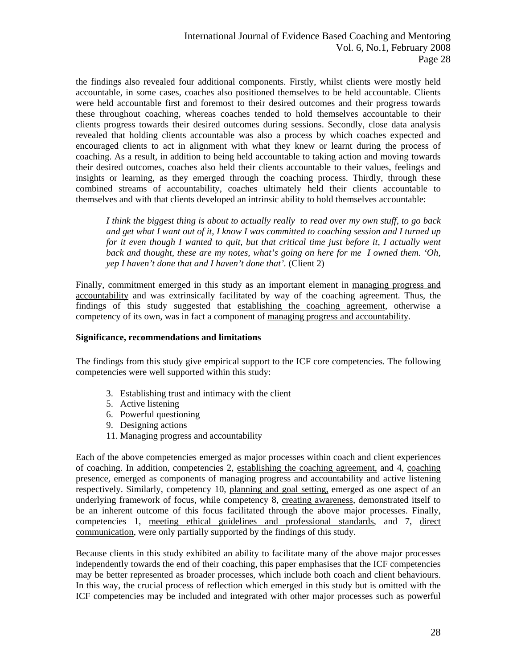the findings also revealed four additional components. Firstly, whilst clients were mostly held accountable, in some cases, coaches also positioned themselves to be held accountable. Clients were held accountable first and foremost to their desired outcomes and their progress towards these throughout coaching, whereas coaches tended to hold themselves accountable to their clients progress towards their desired outcomes during sessions. Secondly, close data analysis revealed that holding clients accountable was also a process by which coaches expected and encouraged clients to act in alignment with what they knew or learnt during the process of coaching. As a result, in addition to being held accountable to taking action and moving towards their desired outcomes, coaches also held their clients accountable to their values, feelings and insights or learning, as they emerged through the coaching process. Thirdly, through these combined streams of accountability, coaches ultimately held their clients accountable to themselves and with that clients developed an intrinsic ability to hold themselves accountable:

*I think the biggest thing is about to actually really to read over my own stuff, to go back and get what I want out of it, I know I was committed to coaching session and I turned up for it even though I wanted to quit, but that critical time just before it, I actually went back and thought, these are my notes, what's going on here for me I owned them. 'Oh, yep I haven't done that and I haven't done that'.* (Client 2)

Finally, commitment emerged in this study as an important element in managing progress and accountability and was extrinsically facilitated by way of the coaching agreement. Thus, the findings of this study suggested that establishing the coaching agreement, otherwise a competency of its own, was in fact a component of managing progress and accountability.

### **Significance, recommendations and limitations**

The findings from this study give empirical support to the ICF core competencies. The following competencies were well supported within this study:

- 3. Establishing trust and intimacy with the client
- 5. Active listening
- 6. Powerful questioning
- 9. Designing actions
- 11. Managing progress and accountability

Each of the above competencies emerged as major processes within coach and client experiences of coaching. In addition, competencies 2, establishing the coaching agreement, and 4, coaching presence, emerged as components of managing progress and accountability and active listening respectively. Similarly, competency 10, planning and goal setting, emerged as one aspect of an underlying framework of focus, while competency 8, creating awareness, demonstrated itself to be an inherent outcome of this focus facilitated through the above major processes. Finally, competencies 1, meeting ethical guidelines and professional standards, and 7, direct communication, were only partially supported by the findings of this study.

Because clients in this study exhibited an ability to facilitate many of the above major processes independently towards the end of their coaching, this paper emphasises that the ICF competencies may be better represented as broader processes, which include both coach and client behaviours. In this way, the crucial process of reflection which emerged in this study but is omitted with the ICF competencies may be included and integrated with other major processes such as powerful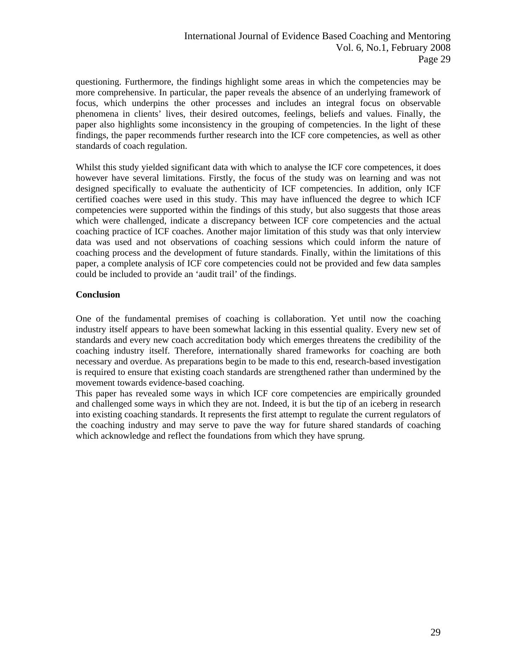questioning. Furthermore, the findings highlight some areas in which the competencies may be more comprehensive. In particular, the paper reveals the absence of an underlying framework of focus, which underpins the other processes and includes an integral focus on observable phenomena in clients' lives, their desired outcomes, feelings, beliefs and values. Finally, the paper also highlights some inconsistency in the grouping of competencies. In the light of these findings, the paper recommends further research into the ICF core competencies, as well as other standards of coach regulation.

Whilst this study yielded significant data with which to analyse the ICF core competences, it does however have several limitations. Firstly, the focus of the study was on learning and was not designed specifically to evaluate the authenticity of ICF competencies. In addition, only ICF certified coaches were used in this study. This may have influenced the degree to which ICF competencies were supported within the findings of this study, but also suggests that those areas which were challenged, indicate a discrepancy between ICF core competencies and the actual coaching practice of ICF coaches. Another major limitation of this study was that only interview data was used and not observations of coaching sessions which could inform the nature of coaching process and the development of future standards. Finally, within the limitations of this paper, a complete analysis of ICF core competencies could not be provided and few data samples could be included to provide an 'audit trail' of the findings.

# **Conclusion**

One of the fundamental premises of coaching is collaboration. Yet until now the coaching industry itself appears to have been somewhat lacking in this essential quality. Every new set of standards and every new coach accreditation body which emerges threatens the credibility of the coaching industry itself. Therefore, internationally shared frameworks for coaching are both necessary and overdue. As preparations begin to be made to this end, research-based investigation is required to ensure that existing coach standards are strengthened rather than undermined by the movement towards evidence-based coaching.

This paper has revealed some ways in which ICF core competencies are empirically grounded and challenged some ways in which they are not. Indeed, it is but the tip of an iceberg in research into existing coaching standards. It represents the first attempt to regulate the current regulators of the coaching industry and may serve to pave the way for future shared standards of coaching which acknowledge and reflect the foundations from which they have sprung.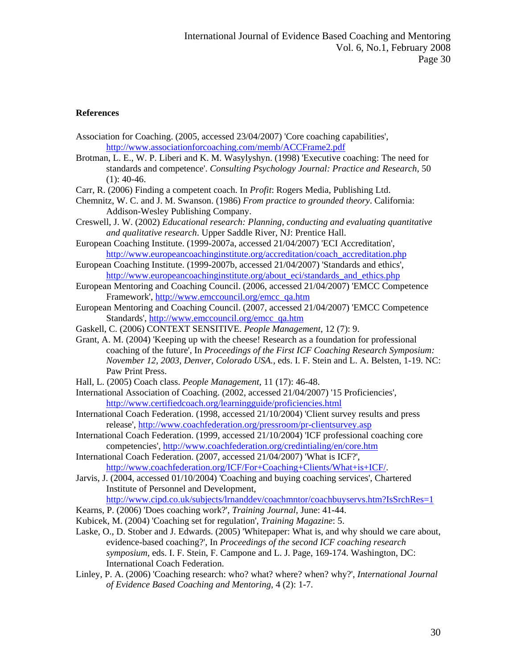## **References**

- Association for Coaching. (2005, accessed 23/04/2007) 'Core coaching capabilities', <http://www.associationforcoaching.com/memb/ACCFrame2.pdf>
- Brotman, L. E., W. P. Liberi and K. M. Wasylyshyn. (1998) 'Executive coaching: The need for standards and competence'. *Consulting Psychology Journal: Practice and Research*, 50  $(1): 40-46.$
- Carr, R. (2006) Finding a competent coach. In *Profit*: Rogers Media, Publishing Ltd.
- Chemnitz, W. C. and J. M. Swanson. (1986) *From practice to grounded theory*. California: Addison-Wesley Publishing Company.
- Creswell, J. W. (2002) *Educational research: Planning, conducting and evaluating quantitative and qualitative research*. Upper Saddle River, NJ: Prentice Hall.
- European Coaching Institute. (1999-2007a, accessed 21/04/2007) 'ECI Accreditation', [http://www.europeancoachinginstitute.org/accreditation/coach\\_accreditation.php](http://www.europeancoachinginstitute.org/accreditation/coach_accreditation.php)

European Coaching Institute. (1999-2007b, accessed 21/04/2007) 'Standards and ethics', [http://www.europeancoachinginstitute.org/about\\_eci/standards\\_and\\_ethics.php](http://www.europeancoachinginstitute.org/about_eci/standards_and_ethics.php)

- European Mentoring and Coaching Council. (2006, accessed 21/04/2007) 'EMCC Competence Framework', [http://www.emccouncil.org/emcc\\_qa.htm](http://www.emccouncil.org/emcc_qa.htm)
- European Mentoring and Coaching Council. (2007, accessed 21/04/2007) 'EMCC Competence Standards', [http://www.emccouncil.org/emcc\\_qa.htm](http://www.emccouncil.org/emcc_qa.htm)
- Gaskell, C. (2006) CONTEXT SENSITIVE. *People Management*, 12 (7): 9.
- Grant, A. M. (2004) 'Keeping up with the cheese! Research as a foundation for professional coaching of the future', In *Proceedings of the First ICF Coaching Research Symposium: November 12, 2003, Denver, Colorado USA.*, eds. I. F. Stein and L. A. Belsten, 1-19. NC: Paw Print Press.
- Hall, L. (2005) Coach class. *People Management*, 11 (17): 46-48.
- International Association of Coaching. (2002, accessed 21/04/2007) '15 Proficiencies', <http://www.certifiedcoach.org/learningguide/proficiencies.html>
- International Coach Federation. (1998, accessed 21/10/2004) 'Client survey results and press release', <http://www.coachfederation.org/pressroom/pr-clientsurvey.asp>
- International Coach Federation. (1999, accessed 21/10/2004) 'ICF professional coaching core competencies',<http://www.coachfederation.org/credintialing/en/core.htm>

International Coach Federation. (2007, accessed 21/04/2007) 'What is ICF?', <http://www.coachfederation.org/ICF/For+Coaching+Clients/What+is+ICF/>.

- Jarvis, J. (2004, accessed 01/10/2004) 'Coaching and buying coaching services', Chartered Institute of Personnel and Development,
- <http://www.cipd.co.uk/subjects/lrnanddev/coachmntor/coachbuyservs.htm?IsSrchRes=1>
- Kearns, P. (2006) 'Does coaching work?', *Training Journal*, June: 41-44.
- Kubicek, M. (2004) 'Coaching set for regulation', *Training Magazine*: 5.
- Laske, O., D. Stober and J. Edwards. (2005) 'Whitepaper: What is, and why should we care about, evidence-based coaching?', In *Proceedings of the second ICF coaching research symposium*, eds. I. F. Stein, F. Campone and L. J. Page, 169-174. Washington, DC: International Coach Federation.
- Linley, P. A. (2006) 'Coaching research: who? what? where? when? why?', *International Journal of Evidence Based Coaching and Mentoring*, 4 (2): 1-7.